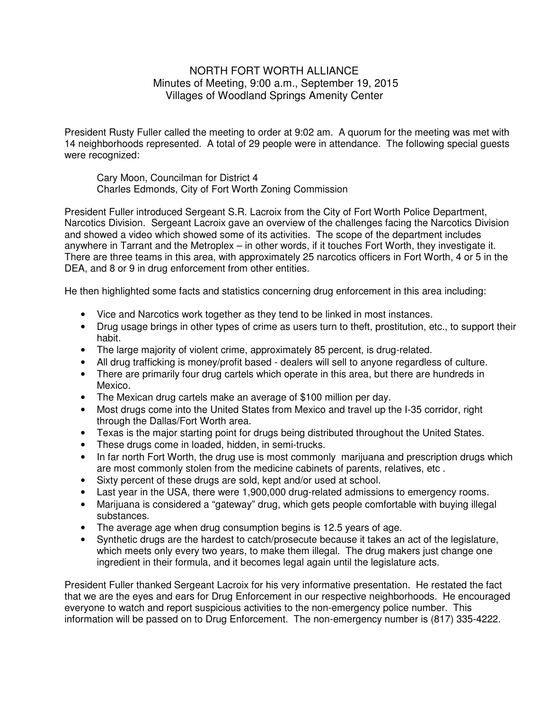## NORTH FORT WORTH ALLIANCE Minutes of Meeting, 9:00 a.m., September 19, 2015 Villages of Woodland Springs Amenity Center

President Rusty Fuller called the meeting to order at 9:02 am. A quorum for the meeting was met with 14 neighborhoods represented. A total of 29 people were in attendance. The following special guests were recognized:

 Cary Moon, Councilman for District 4 Charles Edmonds, City of Fort Worth Zoning Commission

President Fuller introduced Sergeant S.R. Lacroix from the City of Fort Worth Police Department, Narcotics Division. Sergeant Lacroix gave an overview of the challenges facing the Narcotics Division and showed a video which showed some of its activities. The scope of the department includes anywhere in Tarrant and the Metroplex – in other words, if it touches Fort Worth, they investigate it. There are three teams in this area, with approximately 25 narcotics officers in Fort Worth, 4 or 5 in the DEA, and 8 or 9 in drug enforcement from other entities.

He then highlighted some facts and statistics concerning drug enforcement in this area including:

- Vice and Narcotics work together as they tend to be linked in most instances.
- Drug usage brings in other types of crime as users turn to theft, prostitution, etc., to support their habit.
- The large majority of violent crime, approximately 85 percent, is drug-related.
- All drug trafficking is money/profit based dealers will sell to anyone regardless of culture.
- There are primarily four drug cartels which operate in this area, but there are hundreds in Mexico.
- The Mexican drug cartels make an average of \$100 million per day.
- Most drugs come into the United States from Mexico and travel up the I-35 corridor, right through the Dallas/Fort Worth area.
- Texas is the major starting point for drugs being distributed throughout the United States.
- These drugs come in loaded, hidden, in semi-trucks.
- In far north Fort Worth, the drug use is most commonly marijuana and prescription drugs which are most commonly stolen from the medicine cabinets of parents, relatives, etc .
- Sixty percent of these drugs are sold, kept and/or used at school.
- Last year in the USA, there were 1,900,000 drug-related admissions to emergency rooms.
- Marijuana is considered a "gateway" drug, which gets people comfortable with buying illegal substances.
- The average age when drug consumption begins is 12.5 years of age.
- Synthetic drugs are the hardest to catch/prosecute because it takes an act of the legislature, which meets only every two years, to make them illegal. The drug makers just change one ingredient in their formula, and it becomes legal again until the legislature acts.

President Fuller thanked Sergeant Lacroix for his very informative presentation. He restated the fact that we are the eyes and ears for Drug Enforcement in our respective neighborhoods. He encouraged everyone to watch and report suspicious activities to the non-emergency police number. This information will be passed on to Drug Enforcement. The non-emergency number is (817) 335-4222.